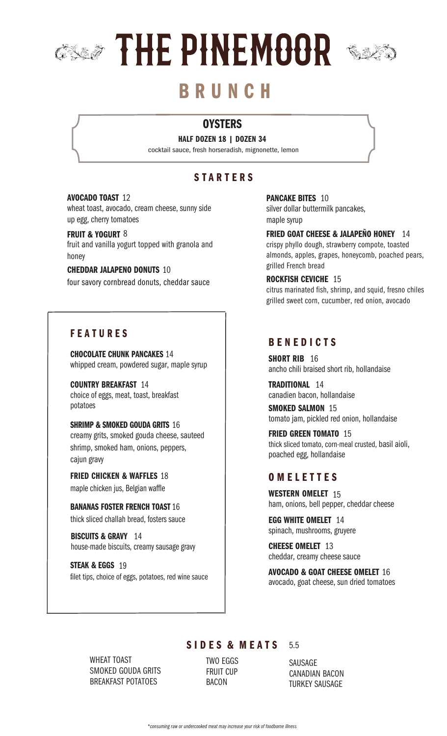

# B R U N C H

# **OYSTERS**

HALF DOZEN 18 | DOZEN 34 cocktail sauce, fresh horseradish, mignonette, lemon

# **STARTERS**

#### AVOCADO TOAST 12

wheat toast, avocado, cream cheese, sunny side up egg, cherry tomatoes

#### FRUIT & YOGURT 8

fruit and vanilla yogurt topped with granola and honey

#### CHEDDAR JALAPENO DONUTS 10

four savory cornbread donuts, cheddar sauce

# **FEATURES**

CHOCOLATE CHUNK PANCAKES 14 whipped cream, powdered sugar, maple syrup

COUNTRY BREAKFAST 14 choice of eggs, meat, toast, breakfast potatoes

SHRIMP & SMOKED GOUDA GRITS 16 creamy grits, smoked gouda cheese, sauteed shrimp, smoked ham, onions, peppers, cajun gravy

FRIED CHICKEN & WAFFLES 18 maple chicken jus, Belgian waffle

BANANAS FOSTER FRENCH TOAST 16 thick sliced challah bread, fosters sauce

BISCUITS & GRAVY 14 house-made biscuits, creamy sausage gravy

STEAK & EGGS 19 filet tips, choice of eggs, potatoes, red wine sauce PANCAKE BITES 10 silver dollar buttermilk pancakes, maple syrup

FRIED GOAT CHEESE & JALAPEÑO HONEY 14 crispy phyllo dough, strawberry compote, toasted almonds, apples, grapes, honeycomb, poached pears, grilled French bread

#### ROCKFISH CEVICHE 15

citrus marinated fish, shrimp, and squid, fresno chiles grilled sweet corn, cucumber, red onion, avocado

# **BENEDICTS**

SHORT RIB 16 ancho chili braised short rib, hollandaise

TRADITIONAL 14 canadien bacon, hollandaise

SMOKED SALMON 15 tomato jam, pickled red onion, hollandaise

FRIED GREEN TOMATO 15 thick sliced tomato, corn-meal crusted, basil aioli, poached egg, hollandaise

# O M E L E T T E S

WESTERN OMELET 15 ham, onions, bell pepper, cheddar cheese

EGG WHITE OMELET 14 spinach, mushrooms, gruyere

CHEESE OMELET 13 cheddar, creamy cheese sauce

AVOCADO & GOAT CHEESE OMELET 16 avocado, goat cheese, sun dried tomatoes

WHEAT TOAST SMOKED GOUDA GRITS BREAKFAST POTATOES

BACON TWO EGGS FRUIT CUP

SIDES & MEATS

SAUSAGE CANADIAN BACON TURKEY SAUSAGE

5.5